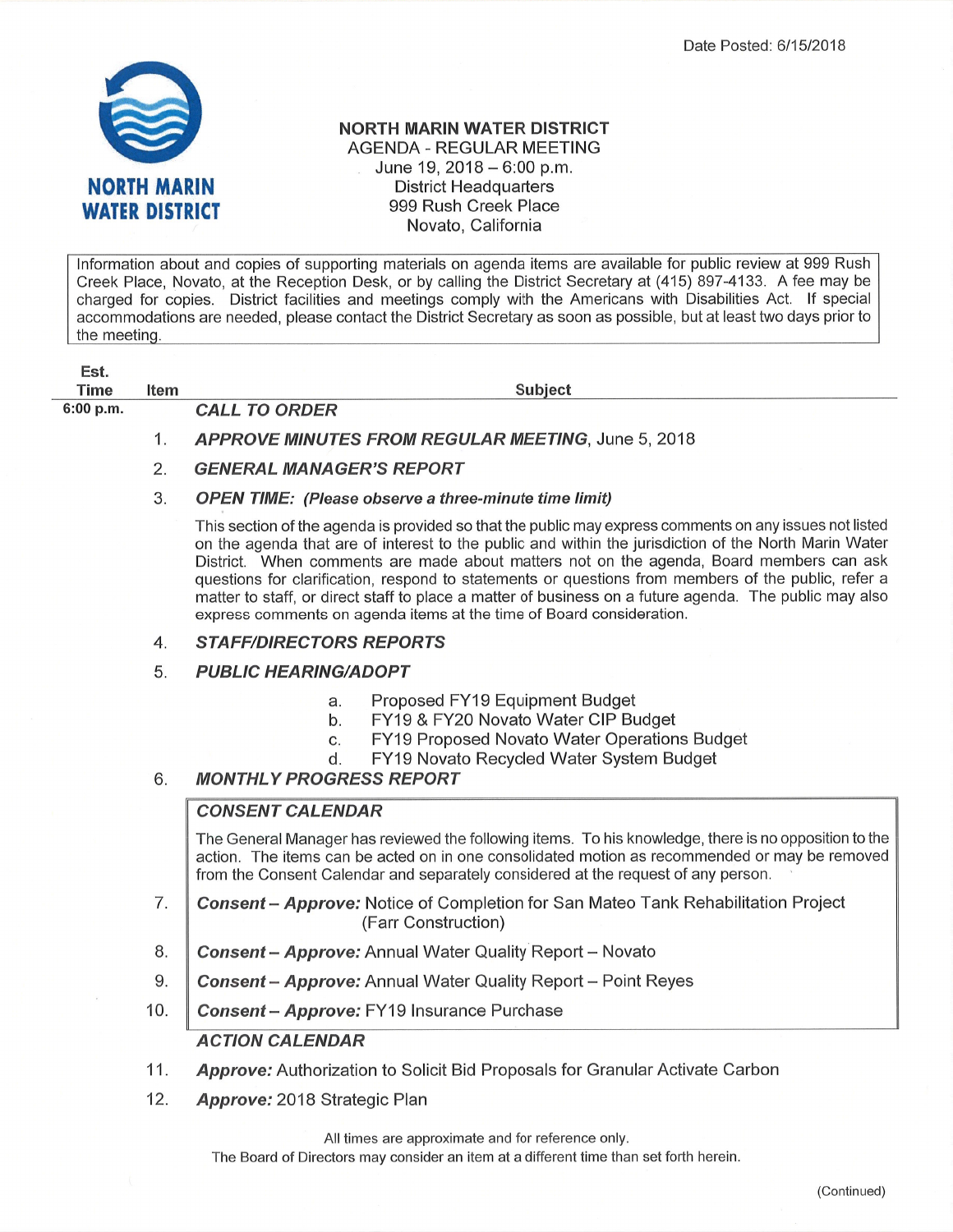

### NORTH MARIN WATER DISTRICT AGENDA - REGULAR MEETING

June 19,  $2018 - 6:00$  p.m. District Headquarters 999 Rush Creek Place Novato, California

lnformation about and copies of supporting materials on agenda items are available for public review at 999 Rush Creek Place, Novato, at the Reception Desk, or by calling the District Secretary at (415) 897-4133. A fee may be charged for copies. District facilities and meetings comply with the Americans with Disabilities Act. lf special accommodations are needed, please contact the District Secretary as soon as possible, but at least two days prior to the meetinq.

| Est.<br>Time | ltem | <b>Subject</b>                                            |  |
|--------------|------|-----------------------------------------------------------|--|
| $6:00$ p.m.  |      | <b>CALL TO ORDER</b>                                      |  |
|              |      | <b>APPROVE MINUTES FROM REGULAR MEETING, June 5, 2018</b> |  |
|              |      | <b>GENERAL MANAGER'S REPORT</b>                           |  |
|              |      |                                                           |  |

### 3. OPEN TIME: (Please observe a three-minute time limit)

This section of the agenda is provided so that the public may express comments on any issues not listed on the agenda that are of interest to the public and within the jurisdiction of the North Marin Water District. When comments are made about matters not on the agenda, Board members can ask questions for clarification, respond to statements or questions from members of the public, refer a matter to staff, or direct staff to place a matter of business on a future agenda. The public may also express comments on agenda items at the time of Board consideration.

# 4. STAFF/DIRECTORS REPORTS

# 5. PUBLIC HEARING/ADOPT

- a. Proposed FY19 Equipment Budget<br>b. FY19 & FY20 Novato Water CIP Budget
- 
- c. FY19 Proposed Novato Water Operations Budget<br>d. FY19 Novato Recycled Water System Budget<br>6. MONTHLY PROGRESS REPORT
	-
- 

# CONSENT CALENDAR

The General Manager has reviewed the following items. To his knowledge, there is no opposition to the action. The items can be acted on in one consolidated motion as recommended or may be removed from the Consent Calendar and separately considered at the request of any person.

- Consent Approve: Notice of Completion for San Mateo Tank Rehabilitation Project (Farr Construction) 7.
- Consent Approve: Annual Water Quality Report Novato 8.
- Consent Approve: Annual Water Quality Report Point Reyes 9.
- Consent Approve: FY19 Insurance Purchase 10.

# ACTION CALENDAR

- 11. Approve: Authorization to Solicit Bid Proposals for Granular Activate Carbon
- 12. Approve: 2018 Strategic Plan

All times are approximate and for reference only.

The Board of Directors may consider an item at a different time than set forth herein